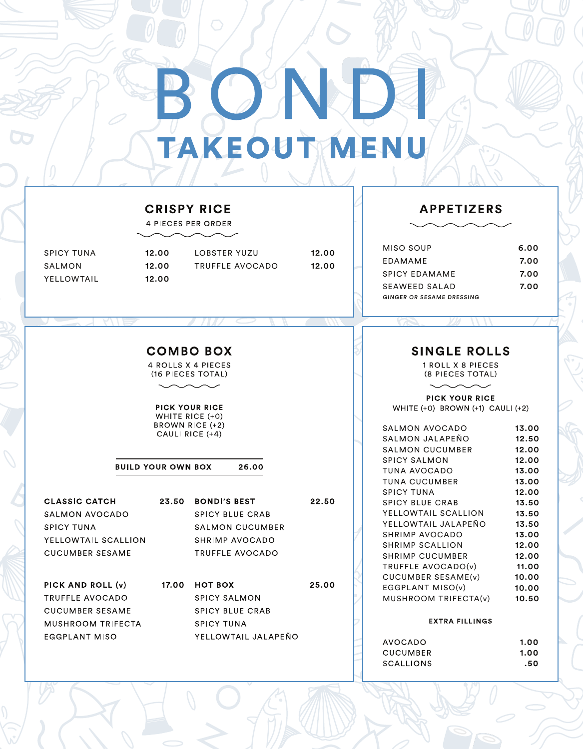# **TAKEOUTMENU**

## **CRISPY RICE**

**4 PIECES PER ORDER** 

| <b>SPICY TUNA</b> |
|-------------------|
| SALMON            |
| YELLOWTAIL        |

12.00 **LOBSTER YUZU** 12.00 TRUFFLE AVOCADO 12.00

12.00 12.00

22.50

**TE** 

## **APPETIZERS**

| MISO SOUP                 | 6.00 |
|---------------------------|------|
| EDAMAME                   | 7.00 |
| <b>SPICY EDAMAME</b>      | 7.00 |
| SFAWFFD SALAD             | 7.00 |
| GINGER OR SESAME DRESSING |      |

## **COMBO BOX**

**4 ROLLS X 4 PIECES** (16 PIECES TOTAL)

#### **PICK YOUR RICE** WHITE RICE (+0) BROWN RICE (+2) CAULI RICE (+4)

**BUILD YOUR OWN BOX** 26.00

**CLASSIC CATCH** SALMON AVOCADO **SPICY TUNA** YELLOWTAIL SCALLION **CUCUMBER SESAME** PICK AND ROLL (v) TRUFFLE AVOCADO

**CUCUMBER SESAME** 

**EGGPLANT MISO** 

MUSHROOM TRIFECTA

23.50 BONDI'S BEST **SPICY BLUE CRAB SALMON CUCUMBER SHRIMP AVOCADO** TRUFFLE AVOCADO

17.00 HOT BOX 25.00 **SPICY SALMON SPICY BLUE CRAB SPICY TUNA** YELLOWTAIL JALAPEÑO

## **SINGLE ROLLS**

1 ROLL X 8 PIECES (8 PIECES TOTAL)

*YA* \\\\

**PICK YOUR RICE** WHITE (+0) BROWN (+1) CAULI (+2)

| SALMON AVOCADO            | 13.00 |
|---------------------------|-------|
| SALMON JALAPEÑO           | 12.50 |
| <b>SALMON CUCUMBER</b>    | 12.00 |
| <b>SPICY SALMON</b>       | 12.00 |
| <b>TUNA AVOCADO</b>       | 13.00 |
| <b>TUNA CUCUMBER</b>      | 13.00 |
| <b>SPICY TUNA</b>         | 12.00 |
| <b>SPICY BLUE CRAB</b>    | 13.50 |
| YELLOWTAIL SCALLION       | 13.50 |
| YELLOWTAIL JALAPEÑO 13.50 |       |
| SHRIMP AVOCADO            | 13.00 |
| SHRIMP SCALLION           | 12.00 |
| <b>SHRIMP CUCUMBER</b>    | 12.00 |
| TRUFFLE AVOCADO(v)        | 11.00 |
| CUCUMBER SESAME(v) 10.00  |       |
| EGGPLANT MISO(v)          | 10.00 |
| MUSHROOM TRIFECTA(v)      | 10.50 |
|                           |       |
|                           |       |

## **EXTRA FILLINGS**

| AVOCADO   | 1.00 |
|-----------|------|
| CUCUMBER  | 1.00 |
| SCALLIONS | .50  |